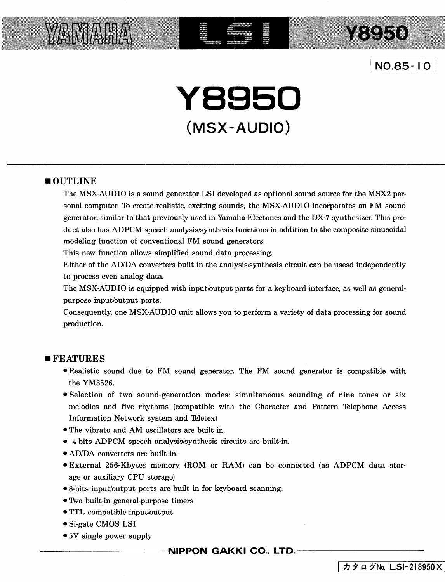

**Y8950** 

**Y8950 (MSX-AUDIO)** 

#### **•OUTLINE**

**YAMAHA** 

The MSX-AUDIO is a sound generator LSI developed as optional sound source for the MSX2 personal computer. Th create realistic, exciting sounds, the MSX-AUDIO incorporates an FM sound generator, similar to that previously used in Yamaha Electones and the DX-7 synthesizer. This product also has ADPCM speech analysis/synthesis functions in addition to the composite sinusoidal modeling function of conventional FM sound generators.

This new function allows simplified sound data processing.

Either of the AD/DA converters built in the analysis/synthesis circuit can be usesd independently to process even analog data.

The MSX-AUDIO is equipped with input/output ports for a keyboard interface, as well as generalpurpose input/output ports.

Consequently, one MSX-AUDIO unit allows you to perform a variety of data processing for sound production.

#### **•FEATURES**

- Realistic sound due to FM sound generator. The FM sound generator is compatible with the YM3526.
- •Selection of two sound-generation modes: simultaneous sounding of nine tones or six melodies and five rhythms (compatible with the Character and Pattern 'Thlephone Access Information Network system and Teletex)
- The vibrato and AM oscillators are built in.
- 4-bits ADPCM speech analysis/synthesis circuits are built-in.
- AD/DA converters are built in.
- •External 256-Kbytes memory (ROM or RAM) can be connected (as ADPCM data storage or auxiliary CPU storage)
- 8-bits input/output ports are built in for keyboard scanning.
- Two built-in general-purpose timers
- TTL compatible input/output
- •Si-gate CMOS LSI
- 5V single power supply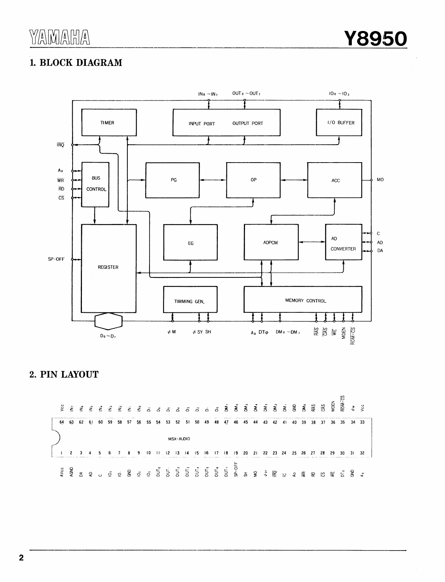# 1. BLOCK DIAGRAM



### 2. PIN LAYOUT

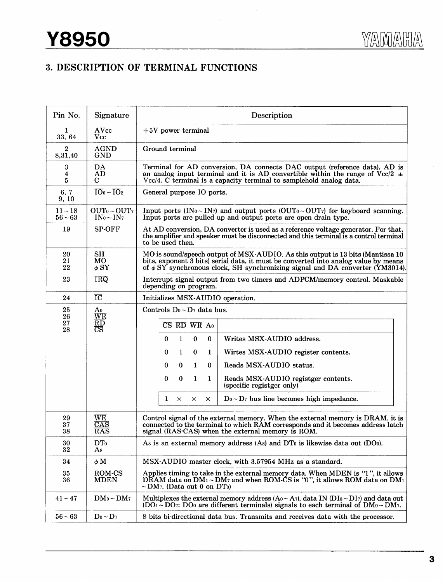## 3. DESCRIPTION OF TERMINAL FUNCTIONS

| Pin No.                     | Signature                                                                 | Description                                                                                                                                                                                                                                                                                                                                                                                                   |  |  |  |  |
|-----------------------------|---------------------------------------------------------------------------|---------------------------------------------------------------------------------------------------------------------------------------------------------------------------------------------------------------------------------------------------------------------------------------------------------------------------------------------------------------------------------------------------------------|--|--|--|--|
| 1<br>33, 64                 | AVcc<br>Vcc                                                               | $+5V$ power terminal                                                                                                                                                                                                                                                                                                                                                                                          |  |  |  |  |
| $\boldsymbol{2}$<br>8,31,40 | <b>AGND</b><br><b>GND</b>                                                 | Ground terminal                                                                                                                                                                                                                                                                                                                                                                                               |  |  |  |  |
| 3<br>4<br>5                 | DA<br>AD<br>$\mathbf C$                                                   | Terminal for AD conversion, DA connects DAC output (reference data). AD is<br>an analog input terminal and it is AD convertible within the range of Vcc/2 $\pm$<br>Vcc/4. C terminal is a capacity terminal to samplehold analog data.                                                                                                                                                                        |  |  |  |  |
| 6, 7<br>9, 10               | $\overline{IO_0} \sim \overline{IO_2}$                                    | General purpose IO ports.                                                                                                                                                                                                                                                                                                                                                                                     |  |  |  |  |
| $11 - 18$<br>$56 - 63$      | OUT <sub>0</sub> ~ OUT <sub>7</sub><br>$IN_0 \sim IN_7$                   | Input ports (IN <sub>0</sub> ~ IN <sub>7</sub> ) and output ports (OUT <sub>0</sub> ~ OUT <sub>7</sub> ) for keyboard scanning.<br>Input ports are pulled up and output ports are open drain type.                                                                                                                                                                                                            |  |  |  |  |
| 19                          | <b>SP-OFF</b>                                                             | At AD conversion, DA converter is used as a reference voltage generator. For that,<br>the amplifier and speaker must be disconnected and this terminal is a control terminal<br>to be used then.                                                                                                                                                                                                              |  |  |  |  |
| 20<br>21<br>22              | SH<br>MО<br>$\phi$ SY                                                     | MO is sound/speech output of MSX-AUDIO. As this output is 13 bits (Mantissa 10<br>bits, exponent 3 bits) serial data, it must be converted into analog value by means<br>of $\phi$ SY synchronous clock, SH synchronizing signal and DA converter (YM3014).                                                                                                                                                   |  |  |  |  |
| 23                          | IRQ                                                                       | Interrupt signal output from two timers and ADPCM/memory control. Maskable<br>depending on program.                                                                                                                                                                                                                                                                                                           |  |  |  |  |
| 24                          | $\overline{IC}$                                                           | Initializes MSX-AUDIO operation.                                                                                                                                                                                                                                                                                                                                                                              |  |  |  |  |
| 25<br>26<br>27<br>28        | A0<br>$\overline{\text{WR}}$<br>$\overline{RD}$<br>$\overline{\text{CS}}$ | Controls $Do \sim D_7$ data bus.<br>CS RD WR Ao<br>$\mathbf 0$<br>$\mathbf 0$<br>$\bf{0}$<br>Writes MSX-AUDIO address.<br>1<br>0<br>1<br>0<br>Wirtes MSX-AUDIO register contents.<br>1<br>Reads MSX-AUDIO status.<br>0<br>1<br>$\bf{0}$<br>0<br>0<br>0<br>1<br>1<br>Reads MSX-AUDIO registger contents.<br>(specific registger only)<br>$Do - D7$ bus line becomes high impedance.<br>1<br>×<br>×<br>$\times$ |  |  |  |  |
| 29<br>37<br>38              | $\overline{\text{WE}}$<br>$\overline{\text{CAS}}$<br>RAS                  | Control signal of the external memory. When the external memory is DRAM, it is<br>connected to the terminal to which RAM corresponds and it becomes address latch<br>signal (RAS·CAS) when the external memory is ROM.                                                                                                                                                                                        |  |  |  |  |
| $30\,$<br>32                | $\mathbf{D}\mathbf{T}$<br>A8                                              | As is an external memory address (As) and DT <sub>0</sub> is likewise data out (DO <sub>0</sub> ).                                                                                                                                                                                                                                                                                                            |  |  |  |  |
| 34                          | $\phi$ M                                                                  | MSX-AUDIO master clock, with 3.57954 MHz as a standard.                                                                                                                                                                                                                                                                                                                                                       |  |  |  |  |
| 35<br>36                    | ROM-CS<br><b>MDEN</b>                                                     | Applies timing to take in the external memory data. When MDEN is "1", it allows<br>DRAM data on DM <sub>1</sub> ~ DM <sub>7</sub> and when ROM-CS is "0", it allows ROM data on DM <sub>1</sub><br>$\sim$ DM <sub>7</sub> . (Data out 0 on DT <sub>0</sub> )                                                                                                                                                  |  |  |  |  |
| $41 - 47$                   | $DM_0 \sim DM_7$                                                          | Multiplexes the external memory address $(Ao - A7)$ , data IN $(DIo - DI7)$ and data out<br>$(DO1 - DO7: DO0$ are different terminals) signals to each terminal of $DM0 - DM7$ .                                                                                                                                                                                                                              |  |  |  |  |
| $56 - 63$                   | $Do \sim D_7$                                                             | 8 bits bi-directional data bus. Transmits and receives data with the processor.                                                                                                                                                                                                                                                                                                                               |  |  |  |  |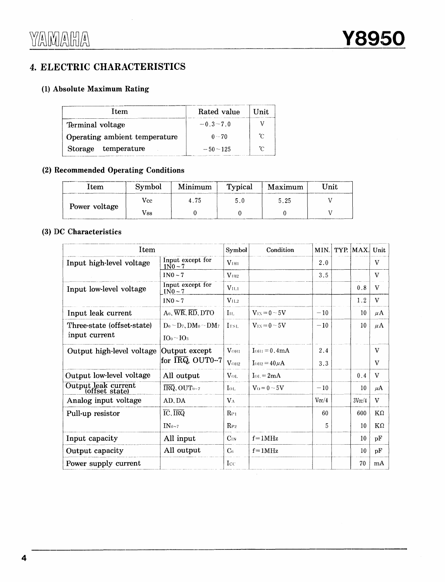## 4. ELECTRIC CHARACTERISTICS

### (1) Absolute Maximum Rating

| <b>Item</b>                   | Rated value  | Unit |
|-------------------------------|--------------|------|
| Terminal voltage              | $-0.3 - 7.0$ |      |
| Operating ambient temperature | $0 - 70$     | ″ົ   |
| temperature<br>Storage        | $-50 - 125$  | ົ    |

#### (2) Recommended Operating Conditions

| Item          | Symbol | Minimum | Typical | Maximum | Jnit |
|---------------|--------|---------|---------|---------|------|
|               | Vcc    | 4 75    | 50      | 5.25    |      |
| Power voltage | Vss    |         |         |         |      |

#### (3) DC Characteristics

| Item                                  |                                                              | Symbol            | Condition         | MIN.  | TYP. MAX. | Unit         |
|---------------------------------------|--------------------------------------------------------------|-------------------|-------------------|-------|-----------|--------------|
| Input high-level voltage              | Input except for<br>$1N0-7$                                  | V <sub>1H1</sub>  |                   | 2.0   |           | V            |
|                                       | $IN0 - 7$                                                    | $V_{\text{III2}}$ |                   | 3.5   |           | V            |
| Input low-level voltage               | Input except for<br>$IN0-7$                                  | V <sub>II.1</sub> |                   |       | 0.8       | V            |
|                                       | $IN0-7$                                                      | V <sub>11.2</sub> |                   |       | 1.2       | V            |
| Input leak current                    | $A_0$ , $\overline{WR}$ , $\overline{RD}$ , $\overline{D}TO$ | $\rm{I}_{\rm{H}}$ | $V_{1X} = 0 - 5V$ | $-10$ | 10        | $\mu$ A      |
| Three-state (offset-state)            | $D_0 \sim D_7$ , DM <sub>0</sub> $\sim$ DM <sub>7</sub>      | ITSI.             | $V_{1X} = 0 - 5V$ | $-10$ | 10        | $\mu$ A      |
| input current                         | $IO0 \sim IO3$                                               |                   |                   |       |           |              |
| Output high-level voltage             | Output except                                                | $V_{OH1}$         | $IOH1 = 0.4mA$    | 2.4   |           | V            |
|                                       | for $\overline{\text{IRQ}}$ , OUT0-7                         | $V_{OH2}$         | $IOH2 = 40 \mu A$ | 3.3   |           | V            |
| Output low-level voltage              | All output                                                   | $V_{OL}$          | $I_{OL} = 2mA$    |       | 0.4       | $\mathbf{V}$ |
| Output leak current<br>(offset state) | $\overline{\text{IRQ}}$ , OUT <sub>0~7</sub>                 | $I_{OL}$          | $V_0 = 0 \sim 5V$ | $-10$ | 10        | $\mu$ A      |
| Analog input voltage                  | AD, DA                                                       | $V_A$             |                   | Vec/4 | 3Vec/4    | V            |
| Pull-up resistor                      | $\overline{IC}$ , $\overline{IRQ}$                           | $\rm R_{Pl}$      |                   | 60    | 600       | $K\Omega$    |
|                                       | $IN_{0-7}$                                                   | $R_{P2}$          |                   | 5.    | 10        | $K\Omega$    |
| Input capacity                        | All input                                                    | $C_{IN}$          | $f = 1$ MHz       |       | 10        | pF           |
| Output capacity                       | All output                                                   | C <sub>6</sub>    | $f = 1MHz$        |       | 10        | pF           |
| Power supply current                  |                                                              | $_{\rm Lcc}$      |                   |       | 70        | mA           |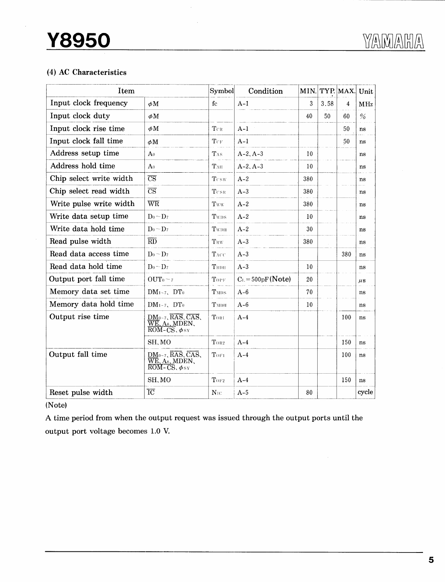### (4) AC Characteristics

| Item                    |                                                                                                                                          | Symbol             | Condition           | MIN.            | $ $ TYP. $ $ MAX. |     | Unit          |
|-------------------------|------------------------------------------------------------------------------------------------------------------------------------------|--------------------|---------------------|-----------------|-------------------|-----|---------------|
| Input clock frequency   | $\phi$ M                                                                                                                                 | fc                 | $A-1$               | 3               | 3.58              | 4   | <b>MHz</b>    |
| Input clock duty        | $\phi$ M                                                                                                                                 |                    |                     | 40              | 50                | 60  | $\frac{1}{2}$ |
| Input clock rise time   | φM                                                                                                                                       | $T_{CR}$           | $A-1$               |                 |                   | 50  | ns            |
| Input clock fall time   | φM                                                                                                                                       | Ter                | $A-1$               |                 |                   | 50  | ns            |
| Address setup time      | A <sub>0</sub>                                                                                                                           | TAS                | $A-2, A-3$          | 10              |                   |     | ns            |
| Address hold time       | A <sub>0</sub>                                                                                                                           | TAH                | $A-2, A-3$          | 10              |                   |     | ns            |
| Chip select write width | $\overline{\text{CS}}$                                                                                                                   | $_{\rm Tcsw}$      | $A-2$               | 380             |                   |     | ns            |
| Chip select read width  | $\overline{\text{CS}}$                                                                                                                   | $T_{\rm CSR}$      | $A-3$               | 380             |                   |     | ns            |
| Write pulse write width | $\overline{\text{WR}}$                                                                                                                   | Tww                | $A-2$               | 380             |                   |     | ns            |
| Write data setup time   | $D_0 \sim D_7$                                                                                                                           | Twps               | $A-2$               | 10              |                   |     | ns            |
| Write data hold time    | $Do \sim D_7$                                                                                                                            | TWDH               | $A-2$               | 30              |                   |     | ns            |
| Read pulse width        | $\overline{RD}$                                                                                                                          | TRW                | $A-3$               | 380             |                   |     | ns            |
| Read data access time   | $D_0 \sim D_7$                                                                                                                           | TACC               | $A-3$               |                 |                   | 380 | ns            |
| Read data hold time     | $D_0 \sim D_7$                                                                                                                           | $\bf T_{\rm RDH}$  | $A-3$               | 10              |                   |     | ns            |
| Output port fall time   | OUT <sub>0</sub> < 7                                                                                                                     | TOPF               | $C_L = 500pF(Note)$ | 20              |                   |     | $\mu$ s       |
| Memory data set time    | $DM_{1 \sim 7}$ , $DT_0$                                                                                                                 | TMDS               | $A-6$               | 70              |                   |     | ns            |
| Memory data hold time   | $DM_{1-7}$ , $DT_0$                                                                                                                      | TMDH               | $A-6$               | 10 <sup>°</sup> |                   |     | ns            |
| Output rise time        | DM0~7、RAS、CAS、<br>WE、A8、MDEN、<br>$\overline{\text{ROM-CS}}$ , $\phi$ sy                                                                  | TORI               | $A-4$               |                 |                   | 100 | ns            |
|                         | SH, MO                                                                                                                                   | TOR <sub>2</sub>   | $A-4$               |                 |                   | 150 | ns            |
| Output fall time        | $DM_{0-7}$ , $\overline{RAS}$ , $\overline{CAS}$ ,<br>$\overline{\text{WE}}$ , As, MDEN,<br>$\overline{\text{ROM-CS}}, \phi_{\text{SY}}$ | TOFI               | $A-4$               |                 |                   | 100 | ns            |
|                         | SH, MO                                                                                                                                   | $\mathrm{Tor}_{2}$ | $A-4$               |                 |                   | 150 | ns            |
| Reset pulse width       | $\overline{IC}$                                                                                                                          | $N_{1C}$           | $A-5$               | 80              |                   |     | cycle         |

(Note)

A time period from when the output request was issued through the output ports until the output port voltage becomes 1.0 V.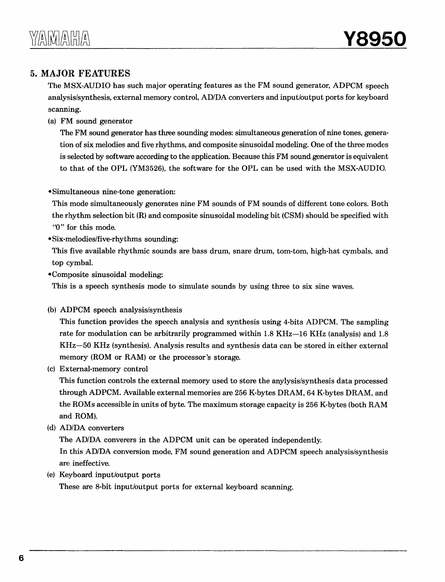### 5. **MAJOR FEATURES**

The MSX-AUDIO has such major operating features as the FM sound generator, ADPCM speech analysis/synthesis, external memory control, AD/DA converters and input/output ports for keyboard scanning.

(a) FM sound generator

The FM sound generator has three sounding modes: simultaneous generation of nine tones, generation of six melodies and five rhythms, and composite sinusoidal modeling. One of the three modes is selected by software according to the application. Because this FM sound generator is equivalent to that of the OPL (YM3526), the software for the OPL can be used with the MSX-AUDIO.

•Simultaneous nine-tone generation:

This mode simultaneously generates nine FM sounds of FM sounds of different tone colors. Both the rhythm selection bit (R) and composite sinusoidal modeling bit (CSM) should be specified with "O" for this mode.

•Six-melodies/five-rhythms sounding:

This five available rhythmic sounds are bass drum, snare drum, tom-tom, high-hat cymbals, and top cymbal.

•Composite sinusoidal modeling:

This is a speech synthesis mode to simulate sounds by using three to six sine waves.

(b) ADPCM speech analysis/synthesis

This function provides the speech analysis and synthesis using 4-bits ADPCM. The sampling rate for modulation can be arbitrarily programmed within 1.8 KHz-16 KHz (analysis) and 1.8 KHz-50 KHz (synthesis). Analysis results and synthesis data can be stored in either external memory (ROM or RAM) or the processor's storage.

(c) External-memory control

This function controls the external memory used to store the anylysis/synthesis data processed through ADPCM. Available external memories are 256 K-bytes DRAM, 64 K-bytes DRAM, and the ROMs accessible in units of byte. The maximum storage capacity is 256 K-bytes (both RAM and ROM).

(d) AD/DA converters

The AD/DA converers in the ADPCM unit can be operated independently.

In this AD/DA conversion mode, FM sound generation and ADPCM speech analysis/synthesis are ineffective.

(e) Keyboard input/output ports

These are 8-bit input/output ports for external keyboard scanning.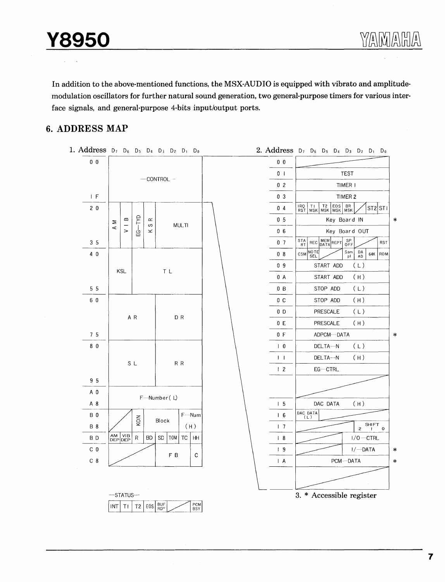In addition to the above-mentioned functions, the MSX-AUDIO is equipped with vibrato and amplitudemodulation oscillators for further natural sound generation, two general-purpose timers for various interface signals, and general-purpose 4-bits input/output ports.

#### **6. ADDRESS MAP**

1. Address  $D_7$   $D_6$   $D_5$   $D_4$   $D_3$   $D_2$   $D_1$   $D_0$ 2. Address  $D_7$   $D_6$   $D_5$   $D_4$   $D_3$   $D_2$   $D_1$   $D_0$ 0 0 0 0 0 I TEST  $-$ CONTROL $-$ 0 2 TIMER I  $\frac{F}{a}$ 0 3 TIMER 2 ---  $\overline{0}$  4  $\overline{R_{\rm S}^{0}}$   $\overline{1}$   $\overline{1}$   $\overline{1}$   $\overline{1}$   $\overline{2}$   $\overline{2}$   $\overline{6}$   $\overline{8}$   $\overline{R}$   $\overline{S}$   $\overline{5}$   $\overline{5}$   $\overline{2}$   $\overline{5}$   $\overline{1}$ 2 0 and the state was made was a start of the state of the state of the state of the state of the state of the state of the state of the state of the state of the state of the state of the state of the state of the state of th  $\begin{array}{c|c}\n & A & M \\
\hline\n & 1 & B \\
\hline\n & 1 & 0 \\
\hline\n & 1 & 0 \\
\hline\n & 1 & 0 \\
\hline\n & 1 & 0 \\
\hline\n & 1 & 0\n\end{array}$ MULTI 0 6 | Key Board OUT  $\frac{3}{4}$ **RST**  $0$  7  $\left| \frac{\text{STA}}{\text{RT}} \right|$ - ---'-- 0 8 CSM SEL Sam DA 64K ROM 4 0 0 9 | START ADD (L) KSL TL  $\begin{array}{|c|c|c|c|c|}\n\hline\n0 A & \text{START ADD} & (H) \\
\hline\n0 B & \text{STOR ADD} & (H) \\
\hline\n\end{array}$  $\frac{5}{6}$  $0 B$  STOP ADD (L) 0 C STOP ADD (H) 6 0 0 D PRESCALE (L) A R DR 0 E PRESCALE (H)  $\frac{7}{2}$  $\begin{array}{|c|c|c|c|c|}\n\hline\n0 & \multicolumn{3}{c|}{\text{ADPCM--DATA}} \\
\hline\n1 & 0 & \multicolumn{3}{c|}{\text{DELTA--N}} & \text{(\;L\;)}\n\end{array} \hspace{0.5cm} \begin{array}{c}\n\ast \\\[-2.5mm] \ast \end{array}$ DELTA-N 8 0  $\overline{1}$   $\overline{1}$ DELTA--N ( H) SL RR 1 2 EG-CTRL  $\frac{9}{10}$ A 0  $F-Mumber$  ( L) 5 DAC DATA ( H) A 8 DAC DATA F--Num 6 B 0  $\begin{array}{|c|c|c|c|}\n\hline\n\text{AM VIB} & \text{R} & \text{BD} & \text{SD} \\
\hline\n\text{DEP} & \text{DEP} & \text{R} & \text{BD} & \text{SD} \\
\hline\n\end{array}$  $\left| \begin{array}{c} 2 \\ 2 \\ 8 \end{array} \right|$  Block  $\frac{B}{D}$  $\overline{17}$   $\overline{2^{SHT}0}$ **AM** VIB R BD SD TOM TC HH B D -- 8  $1/0 - CTRL$ c 0  $\begin{array}{|c|c|c|c|c|}\n\hline\n\text{ 1 9} & \text{ 1/}-\text{DATA} \\
\hline\n\text{ 1 A} & \text{PCM--DATA} & * \\
\hline\n\end{array}$ c 8 PCM---DATA  $-$ STATUS $-$ 3. \* Accessible register  $\boxed{INT}$   $\boxed{TI}$   $\boxed{72}$   $\boxed{EOS}$   $\boxed{BUF}$   $\boxed{POW}$   $\boxed{BSY}$